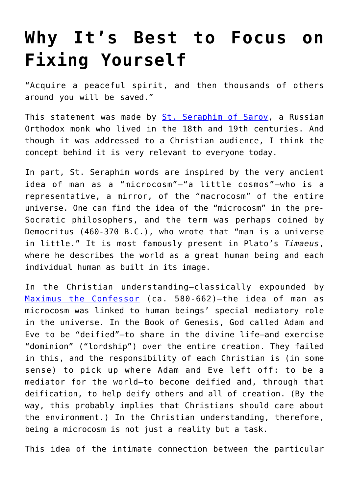## **[Why It's Best to Focus on](https://intellectualtakeout.org/2018/01/why-its-best-to-focus-on-fixing-yourself/) [Fixing Yourself](https://intellectualtakeout.org/2018/01/why-its-best-to-focus-on-fixing-yourself/)**

"Acquire a peaceful spirit, and then thousands of others around you will be saved."

This statement was made by [St. Seraphim of Sarov,](https://en.wikipedia.org/wiki/Seraphim_of_Sarov) a Russian Orthodox monk who lived in the 18th and 19th centuries. And though it was addressed to a Christian audience, I think the concept behind it is very relevant to everyone today.

In part, St. Seraphim words are inspired by the very ancient idea of man as a "microcosm"—"a little cosmos"—who is a representative, a mirror, of the "macrocosm" of the entire universe. One can find the idea of the "microcosm" in the pre-Socratic philosophers, and the term was perhaps coined by Democritus (460-370 B.C.), who wrote that "man is a universe in little." It is most famously present in Plato's *Timaeus*, where he describes the world as a great human being and each individual human as built in its image.

In the Christian understanding—classically expounded by [Maximus the Confessor](https://books.google.com/books/about/Microcosm_and_Mediator.html?id=SnbYAAAAMAAJ) (ca. 580-662)—the idea of man as microcosm was linked to human beings' special mediatory role in the universe. In the Book of Genesis, God called Adam and Eve to be "deified"—to share in the divine life—and exercise "dominion" ("lordship") over the entire creation. They failed in this, and the responsibility of each Christian is (in some sense) to pick up where Adam and Eve left off: to be a mediator for the world—to become deified and, through that deification, to help deify others and all of creation. (By the way, this probably implies that Christians should care about the environment.) In the Christian understanding, therefore, being a microcosm is not just a reality but a task.

This idea of the intimate connection between the particular